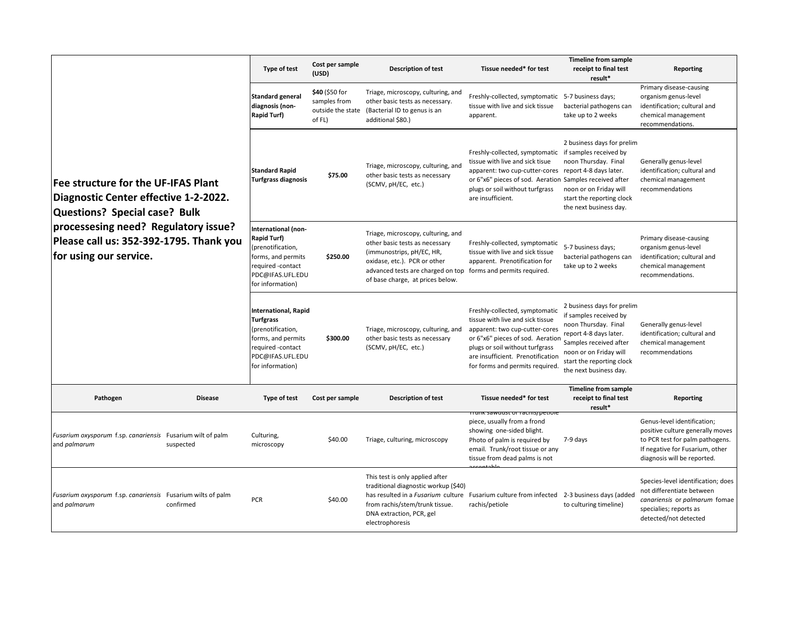| <b>Fee structure for the UF-IFAS Plant</b><br>Diagnostic Center effective 1-2-2022.<br>Questions? Special case? Bulk<br>processesing need? Regulatory issue?<br>Please call us: 352-392-1795. Thank you<br>for using our service. |                | Type of test                                                                                                                                            | Cost per sample<br>(USD)                 | <b>Description of test</b>                                                                                                                                                                                                                             | Tissue needed* for test                                                                                                                                                                                                                                              | <b>Timeline from sample</b><br>receipt to final test<br>result*                                                                                                                                                   | Reporting                                                                                                                                                            |
|-----------------------------------------------------------------------------------------------------------------------------------------------------------------------------------------------------------------------------------|----------------|---------------------------------------------------------------------------------------------------------------------------------------------------------|------------------------------------------|--------------------------------------------------------------------------------------------------------------------------------------------------------------------------------------------------------------------------------------------------------|----------------------------------------------------------------------------------------------------------------------------------------------------------------------------------------------------------------------------------------------------------------------|-------------------------------------------------------------------------------------------------------------------------------------------------------------------------------------------------------------------|----------------------------------------------------------------------------------------------------------------------------------------------------------------------|
|                                                                                                                                                                                                                                   |                | <b>Standard general</b><br>diagnosis (non-<br><b>Rapid Turf)</b>                                                                                        | \$40 (\$50 for<br>samples from<br>of FL) | Triage, microscopy, culturing, and<br>other basic tests as necessary.<br>outside the state (Bacterial ID to genus is an<br>additional \$80.)                                                                                                           | Freshly-collected, symptomatic<br>tissue with live and sick tissue<br>apparent.                                                                                                                                                                                      | 5-7 business days;<br>bacterial pathogens can<br>take up to 2 weeks                                                                                                                                               | Primary disease-causing<br>organism genus-level<br>identification; cultural and<br>chemical management<br>recommendations.                                           |
|                                                                                                                                                                                                                                   |                | <b>Standard Rapid</b><br><b>Turfgrass diagnosis</b>                                                                                                     | \$75.00                                  | Triage, microscopy, culturing, and<br>other basic tests as necessary<br>(SCMV, pH/EC, etc.)                                                                                                                                                            | Freshly-collected, symptomatic if samples received by<br>tissue with live and sick tisue<br>apparent: two cup-cutter-cores report 4-8 days later.<br>or 6"x6" pieces of sod. Aeration Samples received after<br>plugs or soil without turfgrass<br>are insufficient. | 2 business days for prelim<br>noon Thursday. Final<br>noon or on Friday will<br>start the reporting clock<br>the next business day.                                                                               | Generally genus-level<br>identification; cultural and<br>chemical management<br>recommendations                                                                      |
|                                                                                                                                                                                                                                   |                | International (non-<br><b>Rapid Turf)</b><br>(prenotification,<br>forms, and permits<br>required -contact<br>PDC@IFAS.UFL.EDU<br>for information)       | \$250.00                                 | Triage, microscopy, culturing, and<br>other basic tests as necessary<br>(immunostrips, pH/EC, HR,<br>oxidase, etc.). PCR or other<br>advanced tests are charged on top<br>of base charge, at prices below.                                             | Freshly-collected, symptomatic<br>tissue with live and sick tissue<br>apparent. Prenotification for<br>forms and permits required.                                                                                                                                   | 5-7 business days;<br>bacterial pathogens can<br>take up to 2 weeks                                                                                                                                               | Primary disease-causing<br>organism genus-level<br>identification; cultural and<br>chemical management<br>recommendations.                                           |
|                                                                                                                                                                                                                                   |                | <b>International, Rapid</b><br><b>Turfgrass</b><br>(prenotification,<br>forms, and permits<br>required -contact<br>PDC@IFAS.UFL.EDU<br>for information) | \$300.00                                 | Triage, microscopy, culturing, and<br>other basic tests as necessary<br>(SCMV, pH/EC, etc.)                                                                                                                                                            | Freshly-collected, symptomatic<br>tissue with live and sick tissue<br>apparent: two cup-cutter-cores<br>or 6"x6" pieces of sod. Aeratior<br>plugs or soil without turfgrass<br>are insufficient. Prenotification<br>for forms and permits required.                  | 2 business days for prelim<br>if samples received by<br>noon Thursday. Final<br>report 4-8 days later.<br>Samples received after<br>noon or on Friday will<br>start the reporting clock<br>the next business day. | Generally genus-level<br>identification; cultural and<br>chemical management<br>recommendations                                                                      |
| Pathogen                                                                                                                                                                                                                          | <b>Disease</b> | Type of test                                                                                                                                            | Cost per sample                          | <b>Description of test</b>                                                                                                                                                                                                                             | Tissue needed* for test                                                                                                                                                                                                                                              | <b>Timeline from sample</b><br>receipt to final test<br>result*                                                                                                                                                   | Reporting                                                                                                                                                            |
| Fusarium oxysporum f.sp. canariensis Fusarium wilt of palm<br>and palmarum                                                                                                                                                        | suspected      | Culturing,<br>microscopy                                                                                                                                | \$40.00                                  | Triage, culturing, microscopy                                                                                                                                                                                                                          | um sawuust on racms/petion<br>piece, usually from a frond<br>showing one-sided blight.<br>Photo of palm is required by<br>email. Trunk/root tissue or any<br>tissue from dead palms is not                                                                           | 7-9 days                                                                                                                                                                                                          | Genus-level identification;<br>positive culture generally moves<br>to PCR test for palm pathogens.<br>If negative for Fusarium, other<br>diagnosis will be reported. |
| Fusarium oxysporum f.sp. canariensis Fusarium wilts of palm<br>and palmarum                                                                                                                                                       | confirmed      | <b>PCR</b>                                                                                                                                              | \$40.00                                  | This test is only applied after<br>traditional diagnostic workup (\$40)<br>has resulted in a Fusarium culture Fusarium culture from infected 2-3 business days (added<br>from rachis/stem/trunk tissue.<br>DNA extraction, PCR, gel<br>electrophoresis | rachis/petiole                                                                                                                                                                                                                                                       | to culturing timeline)                                                                                                                                                                                            | Species-level identification; does<br>not differentiate between<br>canariensis or palmarum fomae<br>specialies; reports as<br>detected/not detected                  |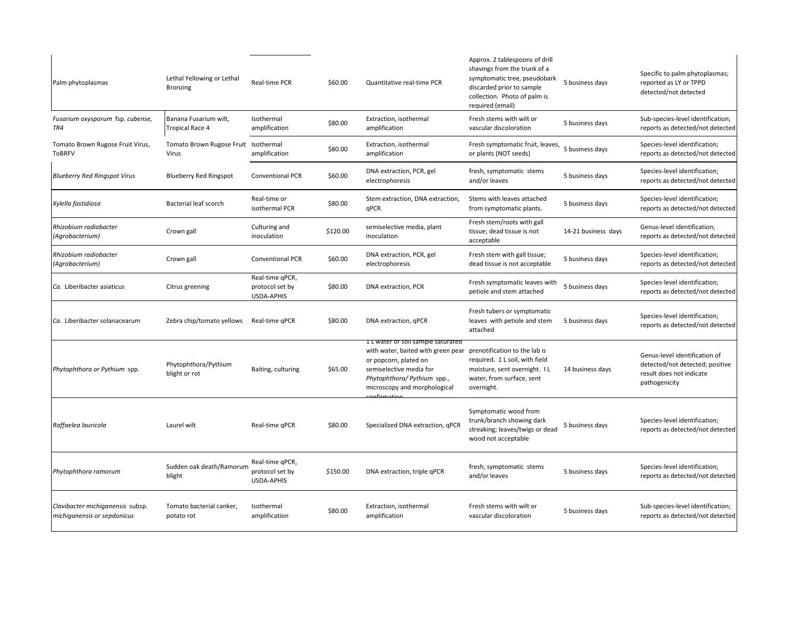| Palm phytoplasmas                                               | Lethal Yellowing or Lethal<br><b>Bronzing</b> | Real-time PCR                                           | \$60.00  | Quantitative real-time PCR                                                                                                                                                                  | Approx. 2 tablespoons of drill<br>shavings from the trunk of a<br>symptomatic tree, pseudobark<br>discarded prior to sample<br>collection. Photo of palm is<br>required (email) | 5 business days     | Specific to palm phytoplasmas;<br>reported as LY or TPPD<br>detected/not detected                             |
|-----------------------------------------------------------------|-----------------------------------------------|---------------------------------------------------------|----------|---------------------------------------------------------------------------------------------------------------------------------------------------------------------------------------------|---------------------------------------------------------------------------------------------------------------------------------------------------------------------------------|---------------------|---------------------------------------------------------------------------------------------------------------|
| Fusarium oxysporum fsp. cubense,<br>TR4                         | Banana Fusarium wilt,<br>Tropical Race 4      | Isothermal<br>amplification                             | \$80.00  | Extraction, isothermal<br>amplification                                                                                                                                                     | Fresh stems with wilt or<br>vascular discoloration                                                                                                                              | 5 business days     | Sub-species-level identification;<br>reports as detected/not detected                                         |
| Tomato Brown Rugose Fruit Virus,<br><b>ToBRFV</b>               | Tomato Brown Rugose Fruit Isothermal<br>Virus | amplification                                           | \$80.00  | Extraction, isothermal<br>amplification                                                                                                                                                     | Fresh symptomatic fruit, leaves,<br>or plants (NOT seeds)                                                                                                                       | 5 business days     | Species-level identification;<br>reports as detected/not detected                                             |
| <b>Blueberry Red Ringspot Virus</b>                             | <b>Blueberry Red Ringspot</b>                 | <b>Conventional PCR</b>                                 | \$60.00  | DNA extraction, PCR, gel<br>electrophoresis                                                                                                                                                 | fresh, symptomatic stems<br>and/or leaves                                                                                                                                       | 5 business days     | Species-level identification;<br>reports as detected/not detected                                             |
| Xylella fastidiosa                                              | Bacterial leaf scorch                         | Real-time or<br>isothermal PCR                          | \$80.00  | Stem extraction, DNA extraction,<br>qPCR                                                                                                                                                    | Stems with leaves attached<br>from symptomatic plants.                                                                                                                          | 5 business days     | Species-level identification;<br>reports as detected/not detected                                             |
| Rhizobium radiobacter<br>(Agrobacterium)                        | Crown gall                                    | Culturing and<br>inoculation                            | \$120.00 | semiselective media, plant<br>inoculation                                                                                                                                                   | Fresh stem/roots with gall<br>tissue; dead tissue is not<br>acceptable                                                                                                          | 14-21 business days | Genus-level identification;<br>reports as detected/not detected                                               |
| Rhizobium radiobacter<br>(Agrobacterium)                        | Crown gall                                    | <b>Conventional PCR</b>                                 | \$60.00  | DNA extraction, PCR, gel<br>electrophoresis                                                                                                                                                 | Fresh stem with gall tissue;<br>dead tissue is not acceptable                                                                                                                   | 5 business days     | Species-level identification;<br>reports as detected/not detected                                             |
| Ca. Liberibacter asiaticus                                      | Citrus greening                               | Real-time qPCR,<br>protocol set by<br>USDA-APHIS        | \$80.00  | DNA extraction, PCR                                                                                                                                                                         | Fresh symptomatic leaves with<br>petiole and stem attached                                                                                                                      | 5 business days     | Species-level identification;<br>reports as detected/not detected                                             |
| Ca. Liberibacter solanacearum                                   | Zebra chip/tomato yellows                     | Real-time gPCR                                          | \$80.00  | DNA extraction, gPCR                                                                                                                                                                        | Fresh tubers or symptomatic<br>leaves with petiole and stem<br>attached                                                                                                         | 5 business days     | Species-level identification;<br>reports as detected/not detected                                             |
| Phytophthora or Pythium spp.                                    | Phytophthora/Pythium<br>blight or rot         | Baiting, culturing                                      | \$65.00  | I L water or soil sample saturated<br>with water, baited with green pear<br>or popcorn, plated on<br>semiselective media for<br>Phytophthora/ Pythium spp.,<br>microscopy and morphological | prenotification to the lab is<br>required. 1 L soil, with field<br>moisture, sent overnight. IL<br>water, from surface, sent<br>overnight.                                      | 14 business days    | Genus-level identification of<br>detected/not detected; positive<br>result does not indicate<br>pathogenicity |
| Raffaelea lauricola                                             | Laurel wilt                                   | Real-time qPCR                                          | \$80.00  | Specialized DNA extraction, qPCR                                                                                                                                                            | Symptomatic wood from<br>trunk/branch showing dark<br>streaking; leaves/twigs or dead<br>wood not acceptable                                                                    | 5 business days     | Species-level identification;<br>reports as detected/not detected                                             |
| Phytophthora ramorum                                            | Sudden oak death/Ramorum<br>blight            | Real-time qPCR,<br>protocol set by<br><b>USDA-APHIS</b> | \$150.00 | DNA extraction, triple qPCR                                                                                                                                                                 | fresh, symptomatic stems<br>and/or leaves                                                                                                                                       | 5 business days     | Species-level identification;<br>reports as detected/not detected                                             |
| Clavibacter michiganensis subsp.<br>michiganensis or sepdonicus | Tomato bacterial canker,<br>potato rot        | Isothermal<br>amplification                             | \$80.00  | Extraction, isothermal<br>amplification                                                                                                                                                     | Fresh stems with wilt or<br>vascular discoloration                                                                                                                              | 5 business days     | Sub-species-level identification;<br>reports as detected/not detected                                         |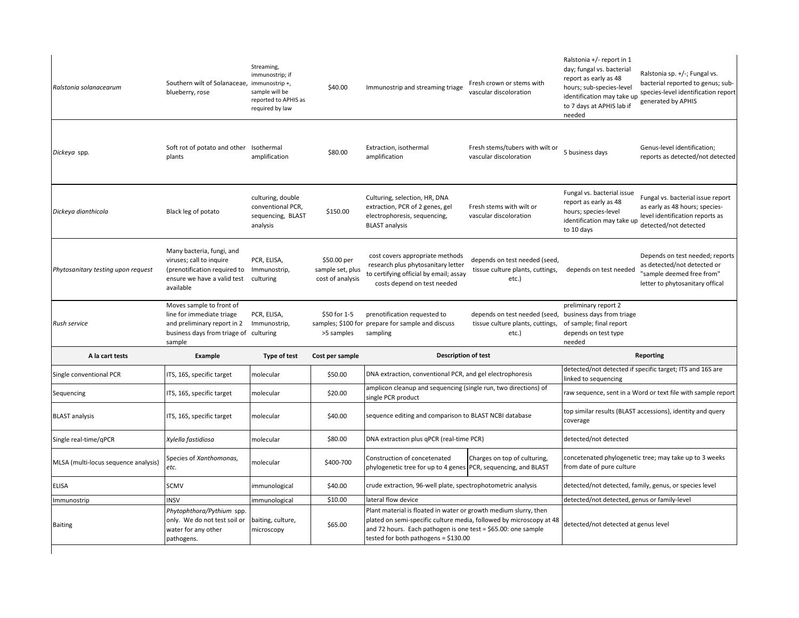| Ralstonia solanacearum               | Southern wilt of Solanaceae, immunostrip +,<br>blueberry, rose                                                                                           | Streaming,<br>immunostrip; if<br>sample will be<br>reported to APHIS as<br>required by law | \$40.00                                             | Immunostrip and streaming triage                                                                                                                                                                                                                 | Fresh crown or stems with<br>vascular discoloration                        | Ralstonia +/- report in 1<br>day; fungal vs. bacterial<br>report as early as 48<br>hours; sub-species-level<br>identification may take up<br>to 7 days at APHIS lab if<br>needed | Ralstonia sp. +/-; Fungal vs.<br>bacterial reported to genus; sub-<br>species-level identification report<br>generated by APHIS |
|--------------------------------------|----------------------------------------------------------------------------------------------------------------------------------------------------------|--------------------------------------------------------------------------------------------|-----------------------------------------------------|--------------------------------------------------------------------------------------------------------------------------------------------------------------------------------------------------------------------------------------------------|----------------------------------------------------------------------------|----------------------------------------------------------------------------------------------------------------------------------------------------------------------------------|---------------------------------------------------------------------------------------------------------------------------------|
| Dickeya spp.                         | Soft rot of potato and other Isothermal<br>plants                                                                                                        | amplification                                                                              | \$80.00                                             | Extraction, isothermal<br>amplification                                                                                                                                                                                                          | Fresh stems/tubers with wilt or<br>vascular discoloration                  | 5 business days                                                                                                                                                                  | Genus-level identification;<br>reports as detected/not detected                                                                 |
| Dickeya dianthicola                  | Black leg of potato                                                                                                                                      | culturing, double<br>conventional PCR,<br>sequencing, BLAST<br>analysis                    | \$150.00                                            | Culturing, selection, HR, DNA<br>extraction, PCR of 2 genes, gel<br>electrophoresis, sequencing,<br><b>BLAST analysis</b>                                                                                                                        | Fresh stems with wilt or<br>vascular discoloration                         | Fungal vs. bacterial issue<br>report as early as 48<br>hours; species-level<br>identification may take up<br>to 10 days                                                          | Fungal vs. bacterial issue report<br>as early as 48 hours; species-<br>level identification reports as<br>detected/not detected |
| Phytosanitary testing upon request   | Many bacteria, fungi, and<br>viruses; call to inquire<br>(prenotification required to Immunostrip,<br>ensure we have a valid test culturing<br>available | PCR, ELISA,                                                                                | \$50.00 per<br>sample set, plus<br>cost of analysis | cost covers appropriate methods<br>research plus phytosanitary letter<br>to certifying official by email; assay<br>costs depend on test needed                                                                                                   | depends on test needed (seed,<br>tissue culture plants, cuttings,<br>etc.) | depends on test needed                                                                                                                                                           | Depends on test needed; reports<br>as detected/not detected or<br>"sample deemed free from"<br>letter to phytosanitary offical  |
| Rush service                         | Moves sample to front of<br>line for immediate triage<br>and preliminary report in 2<br>business days from triage of culturing<br>sample                 | PCR, ELISA,<br>Immunostrip,                                                                | \$50 for 1-5<br>>5 samples                          | prenotification requested to<br>samples; \$100 for prepare for sample and discuss<br>sampling                                                                                                                                                    | depends on test needed (seed,<br>tissue culture plants, cuttings,<br>etc.) | preliminary report 2<br>business days from triage<br>of sample; final report<br>depends on test type<br>needed                                                                   |                                                                                                                                 |
| A la cart tests                      | Example                                                                                                                                                  | Type of test                                                                               | Cost per sample                                     | Description of test                                                                                                                                                                                                                              |                                                                            | <b>Reporting</b>                                                                                                                                                                 |                                                                                                                                 |
| Single conventional PCR              | ITS, 16S, specific target                                                                                                                                | molecular                                                                                  | \$50.00                                             | DNA extraction, conventional PCR, and gel electrophoresis                                                                                                                                                                                        |                                                                            | detected/not detected if specific target; ITS and 16S are<br>linked to sequencing                                                                                                |                                                                                                                                 |
| Sequencing                           | ITS, 16S, specific target                                                                                                                                | molecular                                                                                  | \$20.00                                             | amplicon cleanup and sequencing (single run, two directions) of<br>single PCR product                                                                                                                                                            |                                                                            | raw sequence, sent in a Word or text file with sample report                                                                                                                     |                                                                                                                                 |
| <b>BLAST</b> analysis                | ITS, 16S, specific target                                                                                                                                | molecular                                                                                  | \$40.00                                             | sequence editing and comparison to BLAST NCBI database                                                                                                                                                                                           |                                                                            | top similar results (BLAST accessions), identity and query<br>coverage                                                                                                           |                                                                                                                                 |
| Single real-time/qPCR                | Xylella fastidiosa                                                                                                                                       | molecular                                                                                  | \$80.00                                             | DNA extraction plus qPCR (real-time PCR)                                                                                                                                                                                                         |                                                                            | detected/not detected                                                                                                                                                            |                                                                                                                                 |
| MLSA (multi-locus sequence analysis) | Species of Xanthomonas,<br>etc.                                                                                                                          | molecular                                                                                  | \$400-700                                           | Construction of concetenated<br>phylogenetic tree for up to 4 genes PCR, sequencing, and BLAST                                                                                                                                                   | Charges on top of culturing,                                               | concetenated phylogenetic tree; may take up to 3 weeks<br>from date of pure culture                                                                                              |                                                                                                                                 |
| <b>ELISA</b>                         | SCMV                                                                                                                                                     | immunological                                                                              | \$40.00                                             | crude extraction, 96-well plate, spectrophotometric analysis                                                                                                                                                                                     |                                                                            | detected/not detected, family, genus, or species level                                                                                                                           |                                                                                                                                 |
| mmunostrip                           | <b>INSV</b>                                                                                                                                              | mmunological                                                                               | \$10.00                                             | lateral flow device                                                                                                                                                                                                                              |                                                                            | detected/not detected, genus or family-level                                                                                                                                     |                                                                                                                                 |
| <b>Baiting</b>                       | Phytophthora/Pythium spp.<br>only. We do not test soil or<br>water for any other<br>pathogens.                                                           | baiting, culture,<br>microscopy                                                            | \$65.00                                             | Plant material is floated in water or growth medium slurry, then<br>plated on semi-specific culture media, followed by microscopy at 48<br>and 72 hours. Each pathogen is one test = \$65.00: one sample<br>tested for both pathogens = \$130.00 |                                                                            | detected/not detected at genus level                                                                                                                                             |                                                                                                                                 |